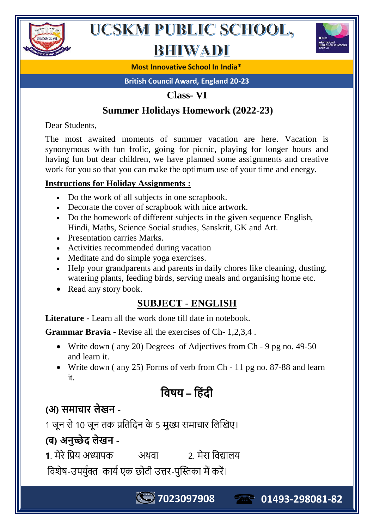

## **BHIWADI**



**Most Innovative School In India\***

**British Council Award, England 20-23**

#### **Class- VI**

## **Summer Holidays Homework (2022-23)**

Dear Students,

The most awaited moments of summer vacation are here. Vacation is synonymous with fun frolic, going for picnic, playing for longer hours and having fun but dear children, we have planned some assignments and creative work for you so that you can make the optimum use of your time and energy.

#### **Instructions for Holiday Assignments :**

- Do the work of all subjects in one scrapbook.
- Decorate the cover of scrapbook with nice artwork.
- Do the homework of different subjects in the given sequence English, Hindi, Maths, Science Social studies, Sanskrit, GK and Art.
- Presentation carries Marks.
- Activities recommended during vacation
- Meditate and do simple yoga exercises.
- Help your grandparents and parents in daily chores like cleaning, dusting, watering plants, feeding birds, serving meals and organising home etc.
- Read any story book.

## **SUBJECT - ENGLISH**

**Literature -** Learn all the work done till date in notebook.

**Grammar Bravia -** Revise all the exercises of Ch- 1,2,3,4 .

- Write down (any 20) Degrees of Adjectives from Ch 9 pg no. 49-50 and learn it.
- Write down (any 25) Forms of verb from Ch 11 pg no. 87-88 and learn it.

**7023097908 01493-298081-82**

 **–** 

## **(अ) -**

1 जून से 10 जून तक प्रतिदिन के 5 मुख्य समाचार लिखिए।

## **(ब) अ -**

**1**. क 2.

विशेष-उपर्युक्त कार्य एक छोटी उत्तर-पुस्तिका में करें।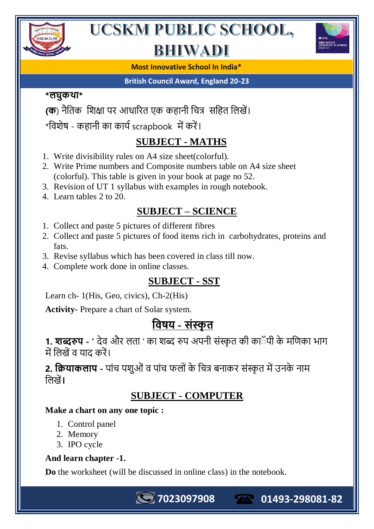

# BHIWADI



**Most Innovative School In India\***

#### **British Council Award, England 20-23**

#### **\* \***

- **(क**) नैतिक शिक्षा पर आधारित एक कहानी चित्र सहित लिखें।
- \*विशेष कहानी का कार्य scrapbook में करें।

## **SUBJECT - MATHS**

- 1. Write divisibility rules on A4 size sheet(colorful).
- 2. Write Prime numbers and Composite numbers table on A4 size sheet (colorful). This table is given in your book at page no 52.
- 3. Revision of UT 1 syllabus with examples in rough notebook.
- 4. Learn tables 2 to 20.

## **SUBJECT – SCIENCE**

- 1. Collect and paste 5 pictures of different fibres
- 2. Collect and paste 5 pictures of food items rich in carbohydrates, proteins and fats.
- 3. Revise syllabus which has been covered in class till now.
- 4. Complete work done in online classes.

## **SUBJECT - SST**

Learn ch- 1(His, Geo, civics), Ch-2(His)

**Activity-** Prepare a chart of Solar system.

## <u> विषय - संस्कृत</u>

1. **शब्दरुप** - ' देव और लता ' का शब्द रुप अपनी संस्कृत की काॅपी के मणिका भाग में लिखें व याद करें।

**2. क्रियाकलाप** - पांच पशुओं व पांच फलों के चित्र बनाकर संस्कृत में उनके नाम **।**

## **SUBJECT - COMPUTER**

**7023097908 01493-298081-82**

#### **Make a chart on any one topic :**

- 1. Control panel
- 2. Memory
- 3. IPO cycle

#### **And learn chapter -1.**

**Do** the worksheet (will be discussed in online class) in the notebook.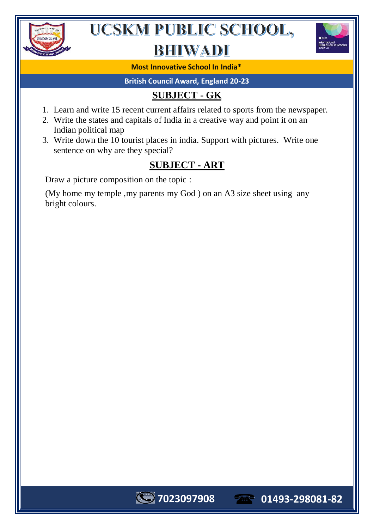

## BHIWADI



**Most Innovative School In India\***

**British Council Award, England 20-23**

## **SUBJECT - GK**

- 1. Learn and write 15 recent current affairs related to sports from the newspaper.
- 2. Write the states and capitals of India in a creative way and point it on an Indian political map
- 3. Write down the 10 tourist places in india. Support with pictures. Write one sentence on why are they special?

## **SUBJECT - ART**

Draw a picture composition on the topic :

(My home my temple ,my parents my God ) on an A3 size sheet using any bright colours.

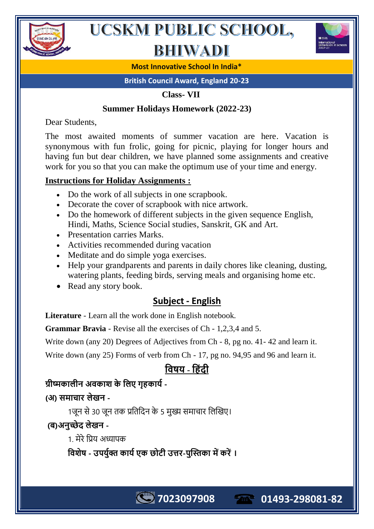

## **BHIWADI**



**Most Innovative School In India\***

**British Council Award, England 20-23**

 **Class- VII** 

#### **Summer Holidays Homework (2022-23)**

Dear Students,

The most awaited moments of summer vacation are here. Vacation is synonymous with fun frolic, going for picnic, playing for longer hours and having fun but dear children, we have planned some assignments and creative work for you so that you can make the optimum use of your time and energy.

#### **Instructions for Holiday Assignments :**

- Do the work of all subjects in one scrapbook.
- Decorate the cover of scrapbook with nice artwork.
- Do the homework of different subjects in the given sequence English, Hindi, Maths, Science Social studies, Sanskrit, GK and Art.
- Presentation carries Marks.
- Activities recommended during vacation
- Meditate and do simple yoga exercises.
- Help your grandparents and parents in daily chores like cleaning, dusting, watering plants, feeding birds, serving meals and organising home etc.
- Read any story book.

### **Subject - English**

**Literature** - Learn all the work done in English notebook.

**Grammar Bravia** - Revise all the exercises of Ch - 1,2,3,4 and 5.

Write down (any 20) Degrees of Adjectives from Ch - 8, pg no. 41- 42 and learn it.

Write down (any 25) Forms of verb from Ch - 17, pg no. 94,95 and 96 and learn it.

## <u>विषय - हिंटी</u>

### **-**

**( ) -**

1जून से 30 जून तक प्रतिदिन के 5 मुख्य समाचार लिखिए।

## **(ब) -**

1 मेरे प्रिय अध्यापक

 **- - ।**

**7023097908 01493-298081-82**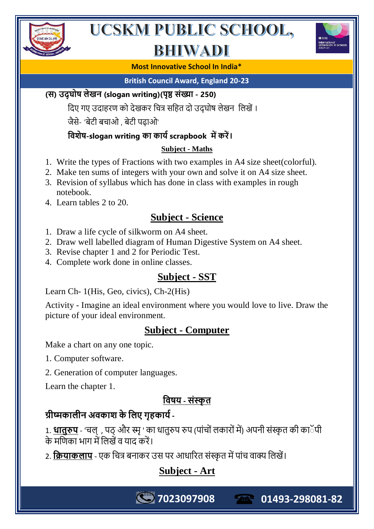

# BHIWADI



#### **Most Innovative School In India\***

**British Council Award, England 20-23**

#### **( ) (slogan writing)( - 250)**

दिए गए उदाहरण को देखकर चित्र सहित दो उदघोष लेखन लिखें ।

जैसे- 'बेटी बचाओ, बेटी पढाओ'

#### *বি***शेष-slogan writing का कार्य scrapbook में करें।**

#### **Subject - Maths**

- 1. Write the types of Fractions with two examples in A4 size sheet(colorful).
- 2. Make ten sums of integers with your own and solve it on A4 size sheet.
- 3. Revision of syllabus which has done in class with examples in rough notebook.
- 4. Learn tables 2 to 20.

## **Subject - Science**

- 1. Draw a life cycle of silkworm on A4 sheet.
- 2. Draw well labelled diagram of Human Digestive System on A4 sheet.
- 3. Revise chapter 1 and 2 for Periodic Test.
- 4. Complete work done in online classes.

## **Subject - SST**

Learn Ch- 1(His, Geo, civics), Ch-2(His)

Activity - Imagine an ideal environment where you would love to live. Draw the picture of your ideal environment.

## **Subject - Computer**

Make a chart on any one topic.

- 1. Computer software.
- 2. Generation of computer languages.

Learn the chapter 1.

## <u> विषय - संस्कृत</u>

## <u>ग्रीष्मकालीन अवकाश के लिए गहकार्य -</u>

1. <mark>धातुरुप</mark> - 'चल् , पठ् और स्मृ ' का धातुरुप रुप (पांचों लकारों में) अपनी संस्कृत की का के मणिका भाग में लिखें व याद करें

2. **क्रियाकलाप** - एक चित्र बनाकर उस पर आधारित संस्कृत में पांच वाक्य लिखें।

## **Subject - Art**

**7023097908 01493-298081-82**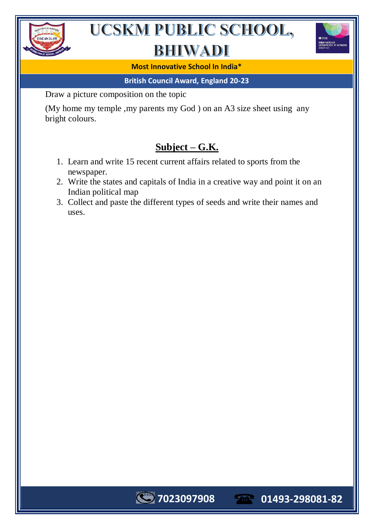

## BHIWADI



#### **Most Innovative School In India\***

#### **British Council Award, England 20-23**

Draw a picture composition on the topic

(My home my temple ,my parents my God ) on an A3 size sheet using any bright colours.

## **Subject – G.K.**

- 1. Learn and write 15 recent current affairs related to sports from the newspaper.
- 2. Write the states and capitals of India in a creative way and point it on an Indian political map
- 3. Collect and paste the different types of seeds and write their names and uses.

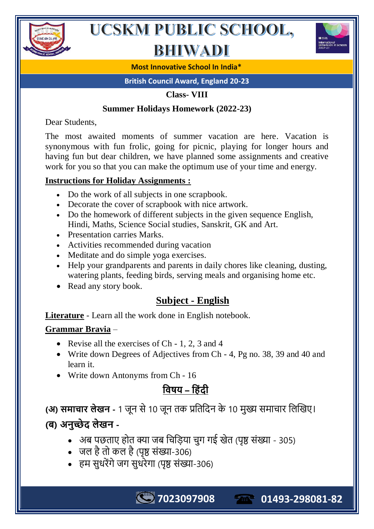

## **BHIWADI**



**Most Innovative School In India\***

**British Council Award, England 20-23**

**Class- VIII**

#### **Summer Holidays Homework (2022-23)**

Dear Students,

The most awaited moments of summer vacation are here. Vacation is synonymous with fun frolic, going for picnic, playing for longer hours and having fun but dear children, we have planned some assignments and creative work for you so that you can make the optimum use of your time and energy.

#### **Instructions for Holiday Assignments :**

- Do the work of all subjects in one scrapbook.
- Decorate the cover of scrapbook with nice artwork.
- Do the homework of different subjects in the given sequence English, Hindi, Maths, Science Social studies, Sanskrit, GK and Art.
- Presentation carries Marks.
- Activities recommended during vacation
- Meditate and do simple yoga exercises.
- Help your grandparents and parents in daily chores like cleaning, dusting, watering plants, feeding birds, serving meals and organising home etc.
- Read any story book.

## **Subject - English**

**Literature** - Learn all the work done in English notebook.

#### **Grammar Bravia** –

- Revise all the exercises of Ch 1, 2, 3 and 4
- Write down Degrees of Adjectives from Ch 4, Pg no. 38, 39 and 40 and learn it.
- Write down Antonyms from Ch 16

## <u>विषय – हिंटी</u>

**(अ) समाचार लेखन** - 1 जून से 10 जून तक प्रतिदिन के 10 मुख्य समाचार लिखिए। **(ब) अ -**

• अब पछताए होत क्या जब चिड़िया चुग गई खेत (पृष्ठ संख्या - 305)

**7023097908 01493-298081-82**

- जल है तो कल है (पृष्ठ संख्या-306)
- हम सुधरेंगे जग सुधरेगा (पृष्ठ संख्या-306)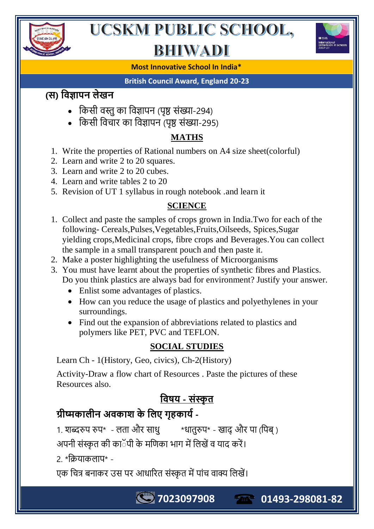

# BHIWADI



#### **Most Innovative School In India\***

#### **British Council Award, England 20-23**

## **( )**

- किसी वस्तु का विज्ञापन (पृष्ठ संख्या-294)
- किसी विचार का विज्ञापन (पृष्ठ संख्या-295)

#### **MATHS**

- 1. Write the properties of Rational numbers on A4 size sheet(colorful)
- 2. Learn and write 2 to 20 squares.
- 3. Learn and write 2 to 20 cubes.
- 4. Learn and write tables 2 to 20
- 5. Revision of UT 1 syllabus in rough notebook .and learn it

#### **SCIENCE**

- 1. Collect and paste the samples of crops grown in India.Two for each of the following- Cereals,Pulses,Vegetables,Fruits,Oilseeds, Spices,Sugar yielding crops,Medicinal crops, fibre crops and Beverages.You can collect the sample in a small transparent pouch and then paste it.
- 2. Make a poster highlighting the usefulness of Microorganisms
- 3. You must have learnt about the properties of synthetic fibres and Plastics. Do you think plastics are always bad for environment? Justify your answer.
	- Enlist some advantages of plastics.
	- How can you reduce the usage of plastics and polyethylenes in your surroundings.
	- Find out the expansion of abbreviations related to plastics and polymers like PET, PVC and TEFLON.

### **SOCIAL STUDIES**

Learn Ch - 1(History, Geo, civics), Ch-2(History)

Activity-Draw a flow chart of Resources . Paste the pictures of these Resources also.

## <u> विषय - संस्कृत</u>

**7023097908 01493-298081-82**

## ग्रीष्मकालीन अवकाश के लिए गृहकार्य -

1. शब्दरुप रुप\* - लता और साधु \*धातुरुप\* - खादु और पा (पिब्)

अपनी संस्कृत की काॅपी के मणिका भाग में लिखें व याद करें।

 $2 *$ कियाकलाप $*$  -

एक चित्र बनाकर उस पर आधारित संस्कृत में पांच वाक्य लिखें।